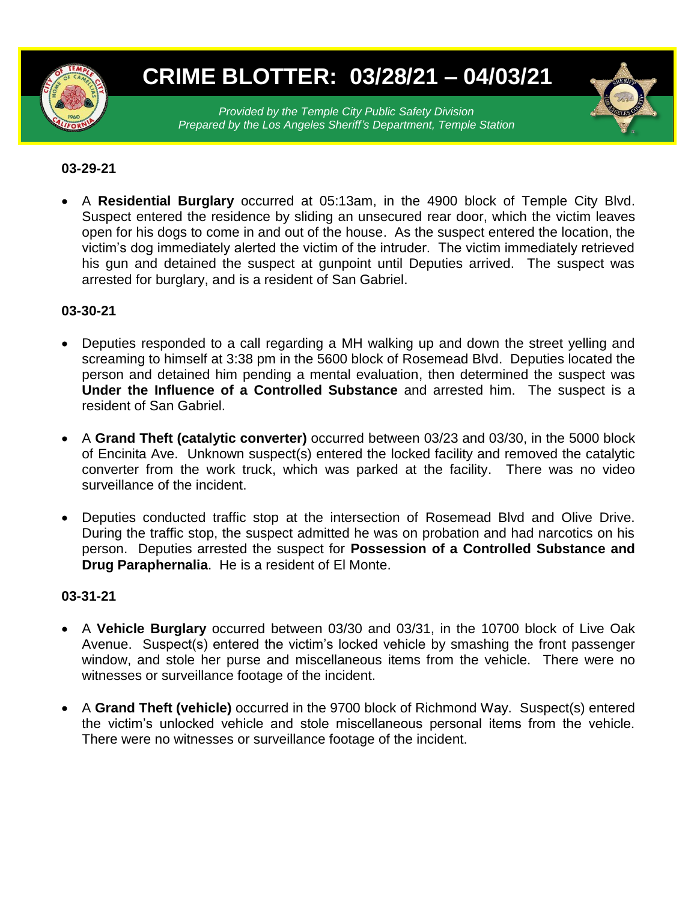

# **CRIME BLOTTER: 03/28/21 – 04/03/21**

*Provided by the Temple City Public Safety Division Prepared by the Los Angeles Sheriff's Department, Temple Station*

# **03-29-21**

 A **Residential Burglary** occurred at 05:13am, in the 4900 block of Temple City Blvd. Suspect entered the residence by sliding an unsecured rear door, which the victim leaves open for his dogs to come in and out of the house. As the suspect entered the location, the victim's dog immediately alerted the victim of the intruder. The victim immediately retrieved his gun and detained the suspect at gunpoint until Deputies arrived. The suspect was arrested for burglary, and is a resident of San Gabriel.

## **03-30-21**

- Deputies responded to a call regarding a MH walking up and down the street yelling and screaming to himself at 3:38 pm in the 5600 block of Rosemead Blvd. Deputies located the person and detained him pending a mental evaluation, then determined the suspect was **Under the Influence of a Controlled Substance** and arrested him. The suspect is a resident of San Gabriel.
- A **Grand Theft (catalytic converter)** occurred between 03/23 and 03/30, in the 5000 block of Encinita Ave. Unknown suspect(s) entered the locked facility and removed the catalytic converter from the work truck, which was parked at the facility. There was no video surveillance of the incident.
- Deputies conducted traffic stop at the intersection of Rosemead Blvd and Olive Drive. During the traffic stop, the suspect admitted he was on probation and had narcotics on his person. Deputies arrested the suspect for **Possession of a Controlled Substance and Drug Paraphernalia**. He is a resident of El Monte.

#### **03-31-21**

- A **Vehicle Burglary** occurred between 03/30 and 03/31, in the 10700 block of Live Oak Avenue. Suspect(s) entered the victim's locked vehicle by smashing the front passenger window, and stole her purse and miscellaneous items from the vehicle. There were no witnesses or surveillance footage of the incident.
- A **Grand Theft (vehicle)** occurred in the 9700 block of Richmond Way. Suspect(s) entered the victim's unlocked vehicle and stole miscellaneous personal items from the vehicle. There were no witnesses or surveillance footage of the incident.